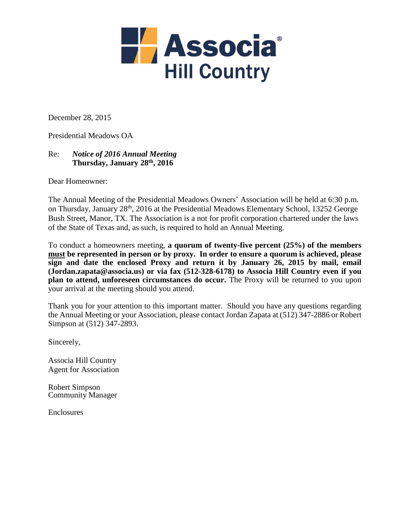

December 28, 2015

Presidential Meadows OA

## Re: *Notice of 2016 Annual Meeting* **Thursday, January 28th, 2016**

Dear Homeowner:

The Annual Meeting of the Presidential Meadows Owners' Association will be held at 6:30 p.m. on Thursday, January 28th, 2016 at the Presidential Meadows Elementary School, 13252 George Bush Street, Manor, TX. The Association is a not for profit corporation chartered under the laws of the State of Texas and, as such, is required to hold an Annual Meeting.

To conduct a homeowners meeting, **a quorum of twenty-five percent (25%) of the members must be represented in person or by proxy. In order to ensure a quorum is achieved, please sign and date the enclosed Proxy and return it by January 26, 2015 by mail, email (Jordan.zapata@associa.us) or via fax (512-328-6178) to Associa Hill Country even if you plan to attend, unforeseen circumstances do occur.** The Proxy will be returned to you upon your arrival at the meeting should you attend.

Thank you for your attention to this important matter. Should you have any questions regarding the Annual Meeting or your Association, please contact Jordan Zapata at (512) 347-2886 or Robert Simpson at (512) 347-2893.

Sincerely,

Associa Hill Country Agent for Association

Robert Simpson Community Manager

Enclosures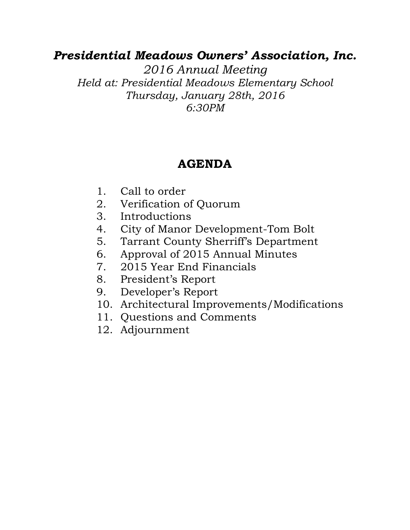## *Presidential Meadows Owners' Association, Inc.*

*2016 Annual Meeting Held at: Presidential Meadows Elementary School Thursday, January 28th, 2016 6:30PM*

## **AGENDA**

- 1. Call to order
- 2. Verification of Quorum
- 3. Introductions
- 4. City of Manor Development-Tom Bolt
- 5. Tarrant County Sherriff's Department
- 6. Approval of 2015 Annual Minutes
- 7. 2015 Year End Financials
- 8. President's Report
- 9. Developer's Report
- 10. Architectural Improvements/Modifications
- 11. Questions and Comments
- 12. Adjournment